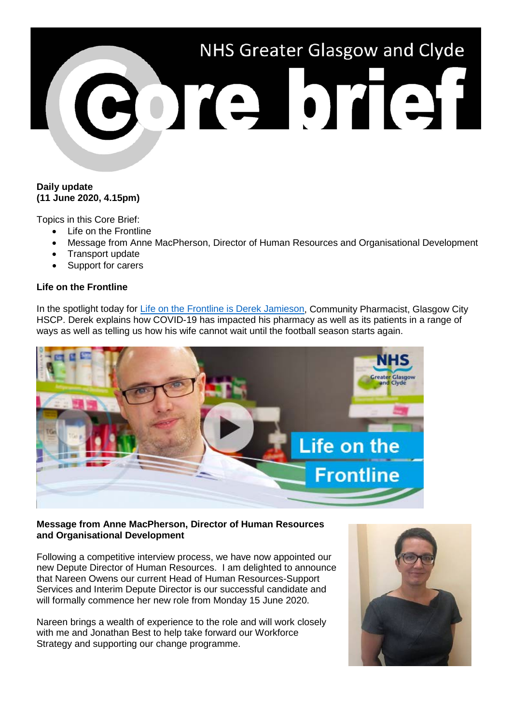

## **Daily update (11 June 2020, 4.15pm)**

Topics in this Core Brief:

- Life on the Frontline
- Message from Anne MacPherson, Director of Human Resources and Organisational Development
- Transport update
- Support for carers

## **Life on the Frontline**

In the spotlight today for [Life on the Frontline is Derek Jamieson,](https://www.youtube.com/watch?v=FIJr9juG4ts) Community Pharmacist, Glasgow City HSCP. Derek explains how COVID-19 has impacted his pharmacy as well as its patients in a range of ways as well as telling us how his wife cannot wait until the football season starts again.



#### **Message from Anne MacPherson, Director of Human Resources and Organisational Development**

Following a competitive interview process, we have now appointed our new Depute Director of Human Resources. I am delighted to announce that Nareen Owens our current Head of Human Resources-Support Services and Interim Depute Director is our successful candidate and will formally commence her new role from Monday 15 June 2020.

Nareen brings a wealth of experience to the role and will work closely with me and Jonathan Best to help take forward our Workforce Strategy and supporting our change programme.